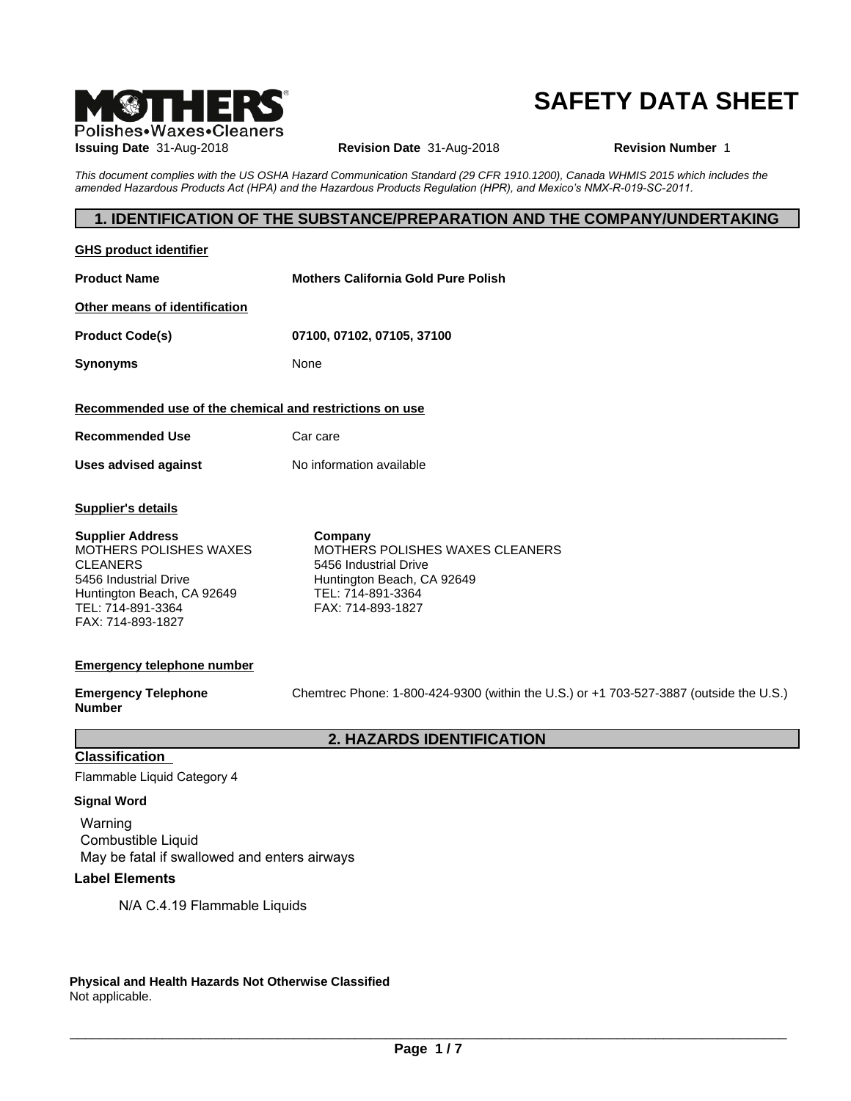

## **SAFETY DATA SHEET**

| <b>M®THERS</b><br>Polishes•Waxes•Cleaners                                                                                                                             |                                                                                                                                             | <b>SAFETY DATA SHEET</b>                                                                                                       |
|-----------------------------------------------------------------------------------------------------------------------------------------------------------------------|---------------------------------------------------------------------------------------------------------------------------------------------|--------------------------------------------------------------------------------------------------------------------------------|
| <b>Issuing Date 31-Aug-2018</b>                                                                                                                                       | Revision Date 31-Aug-2018                                                                                                                   | <b>Revision Number 1</b>                                                                                                       |
|                                                                                                                                                                       | amended Hazardous Products Act (HPA) and the Hazardous Products Regulation (HPR), and Mexico's NMX-R-019-SC-2011.                           | This document complies with the US OSHA Hazard Communication Standard (29 CFR 1910.1200), Canada WHMIS 2015 which includes the |
|                                                                                                                                                                       |                                                                                                                                             | 1. IDENTIFICATION OF THE SUBSTANCE/PREPARATION AND THE COMPANY/UNDERTAKING                                                     |
| <b>GHS product identifier</b>                                                                                                                                         |                                                                                                                                             |                                                                                                                                |
| <b>Product Name</b>                                                                                                                                                   | <b>Mothers California Gold Pure Polish</b>                                                                                                  |                                                                                                                                |
| Other means of identification                                                                                                                                         |                                                                                                                                             |                                                                                                                                |
| <b>Product Code(s)</b>                                                                                                                                                | 07100, 07102, 07105, 37100                                                                                                                  |                                                                                                                                |
| <b>Synonyms</b>                                                                                                                                                       | None                                                                                                                                        |                                                                                                                                |
| Recommended use of the chemical and restrictions on use                                                                                                               |                                                                                                                                             |                                                                                                                                |
| <b>Recommended Use</b>                                                                                                                                                | Car care                                                                                                                                    |                                                                                                                                |
| <b>Uses advised against</b>                                                                                                                                           | No information available                                                                                                                    |                                                                                                                                |
| <b>Supplier's details</b>                                                                                                                                             |                                                                                                                                             |                                                                                                                                |
| <b>Supplier Address</b><br>MOTHERS POLISHES WAXES<br><b>CLEANERS</b><br>5456 Industrial Drive<br>Huntington Beach, CA 92649<br>TEL: 714-891-3364<br>FAX: 714-893-1827 | Company<br>MOTHERS POLISHES WAXES CLEANERS<br>5456 Industrial Drive<br>Huntington Beach, CA 92649<br>TEL: 714-891-3364<br>FAX: 714-893-1827 |                                                                                                                                |
| <b>Emergency telephone number</b>                                                                                                                                     |                                                                                                                                             |                                                                                                                                |
| <b>Emergency Telephone</b><br><b>Number</b>                                                                                                                           |                                                                                                                                             | Chemtrec Phone: 1-800-424-9300 (within the U.S.) or +1 703-527-3887 (outside the U.S.)                                         |
|                                                                                                                                                                       | 2. HAZARDS IDENTIFICATION                                                                                                                   |                                                                                                                                |
| <b>Classification</b><br>Flammable Liquid Category 4                                                                                                                  |                                                                                                                                             |                                                                                                                                |
| <b>Signal Word</b>                                                                                                                                                    |                                                                                                                                             |                                                                                                                                |
| Warning<br>Combustible Liquid                                                                                                                                         |                                                                                                                                             |                                                                                                                                |
| May be fatal if swallowed and enters airways<br><b>Label Elements</b>                                                                                                 |                                                                                                                                             |                                                                                                                                |
| N/A C.4.19 Flammable Liquids                                                                                                                                          |                                                                                                                                             |                                                                                                                                |

**Physical and Health Hazards Not Otherwise Classified** Not applicable.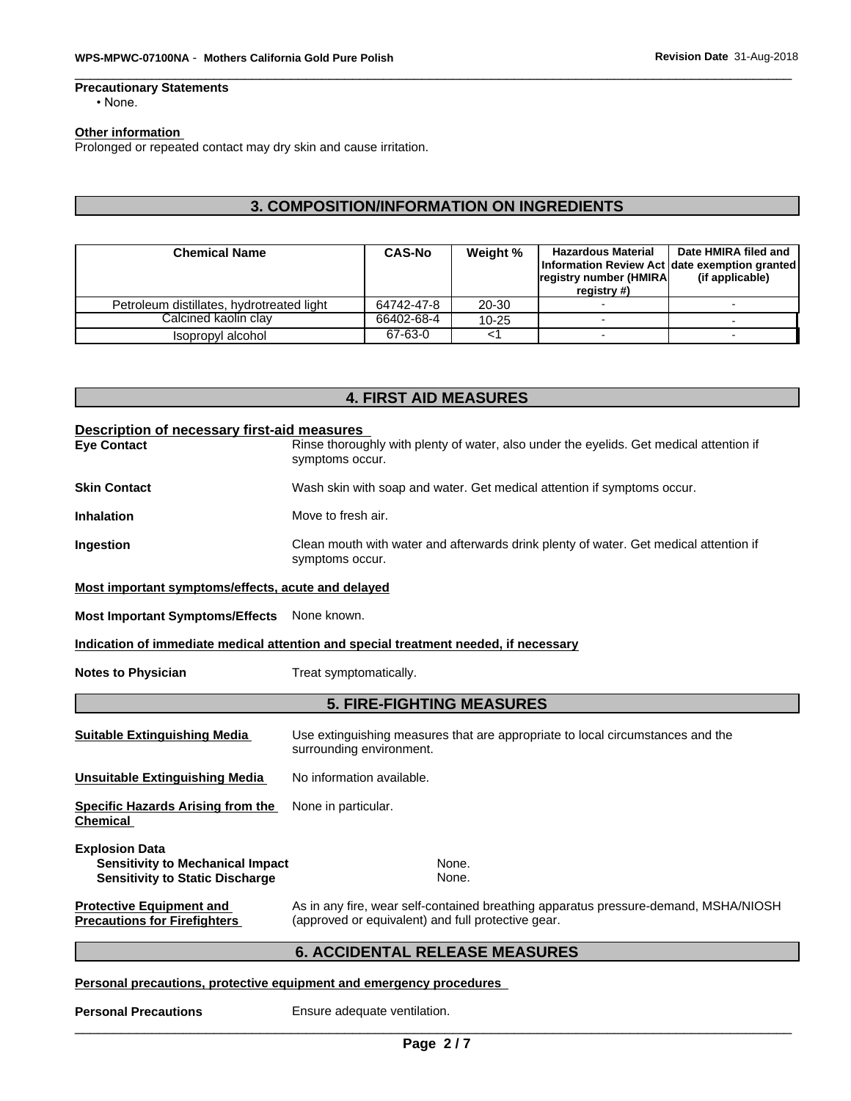## **Precautionary Statements**

### • None.

### **Other information**

| WPS-MPWC-07100NA - Mothers California Gold Pure Polish                                       |                       |                    | Revision Date 31-Aug-2018                                                                            |                                         |  |
|----------------------------------------------------------------------------------------------|-----------------------|--------------------|------------------------------------------------------------------------------------------------------|-----------------------------------------|--|
| <b>Precautionary Statements</b><br>$\cdot$ None.                                             |                       |                    |                                                                                                      |                                         |  |
| <b>Other information</b><br>Prolonged or repeated contact may dry skin and cause irritation. |                       |                    |                                                                                                      |                                         |  |
|                                                                                              |                       |                    |                                                                                                      |                                         |  |
|                                                                                              |                       |                    |                                                                                                      |                                         |  |
| 3. COMPOSITION/INFORMATION ON INGREDIENTS                                                    |                       |                    |                                                                                                      |                                         |  |
| <b>Chemical Name</b>                                                                         | <b>CAS-No</b>         | Weight %           | <b>Hazardous Material</b><br>Information Review Act date exemption granted<br>registry number (HMIRA | Date HMIRA filed and<br>(if applicable) |  |
| Petroleum distillates, hydrotreated light                                                    | 64742-47-8            | 20-30              | registry #)                                                                                          |                                         |  |
| Calcined kaolin clay<br>Isopropyl alcohol                                                    | 66402-68-4<br>67-63-0 | $10 - 25$<br>$<$ 1 | $\sim$                                                                                               |                                         |  |

| Description of necessary first-aid measures                                       |                                                                                                                                           |  |  |  |  |
|-----------------------------------------------------------------------------------|-------------------------------------------------------------------------------------------------------------------------------------------|--|--|--|--|
| <b>Eye Contact</b>                                                                | Rinse thoroughly with plenty of water, also under the eyelids. Get medical attention if<br>symptoms occur.                                |  |  |  |  |
| <b>Skin Contact</b>                                                               | Wash skin with soap and water. Get medical attention if symptoms occur.                                                                   |  |  |  |  |
| <b>Inhalation</b>                                                                 | Move to fresh air.                                                                                                                        |  |  |  |  |
| Ingestion                                                                         | Clean mouth with water and afterwards drink plenty of water. Get medical attention if<br>symptoms occur.                                  |  |  |  |  |
| Most important symptoms/effects, acute and delayed                                |                                                                                                                                           |  |  |  |  |
| <b>Most Important Symptoms/Effects</b>                                            | None known.                                                                                                                               |  |  |  |  |
|                                                                                   | Indication of immediate medical attention and special treatment needed, if necessary                                                      |  |  |  |  |
| <b>Notes to Physician</b>                                                         | Treat symptomatically.                                                                                                                    |  |  |  |  |
|                                                                                   | <b>5. FIRE-FIGHTING MEASURES</b>                                                                                                          |  |  |  |  |
| <b>Suitable Extinguishing Media</b>                                               | Use extinguishing measures that are appropriate to local circumstances and the<br>surrounding environment.                                |  |  |  |  |
| <b>Unsuitable Extinguishing Media</b>                                             | No information available.                                                                                                                 |  |  |  |  |
| <b>Specific Hazards Arising from the</b><br><b>Chemical</b>                       | None in particular.                                                                                                                       |  |  |  |  |
| <b>Explosion Data</b>                                                             |                                                                                                                                           |  |  |  |  |
| <b>Sensitivity to Mechanical Impact</b><br><b>Sensitivity to Static Discharge</b> | None.<br>None.                                                                                                                            |  |  |  |  |
| <b>Protective Equipment and</b><br><b>Precautions for Firefighters</b>            | As in any fire, wear self-contained breathing apparatus pressure-demand, MSHA/NIOSH<br>(approved or equivalent) and full protective gear. |  |  |  |  |
|                                                                                   | <b>6. ACCIDENTAL RELEASE MEASURES</b>                                                                                                     |  |  |  |  |
|                                                                                   | Personal precautions, protective equipment and emergency procedures                                                                       |  |  |  |  |
| <b>Personal Precautions</b>                                                       | Ensure adequate ventilation.                                                                                                              |  |  |  |  |

#### **Personal precautions, protective equipment and emergency procedures**

**Personal Precautions** Ensure adequate ventilation.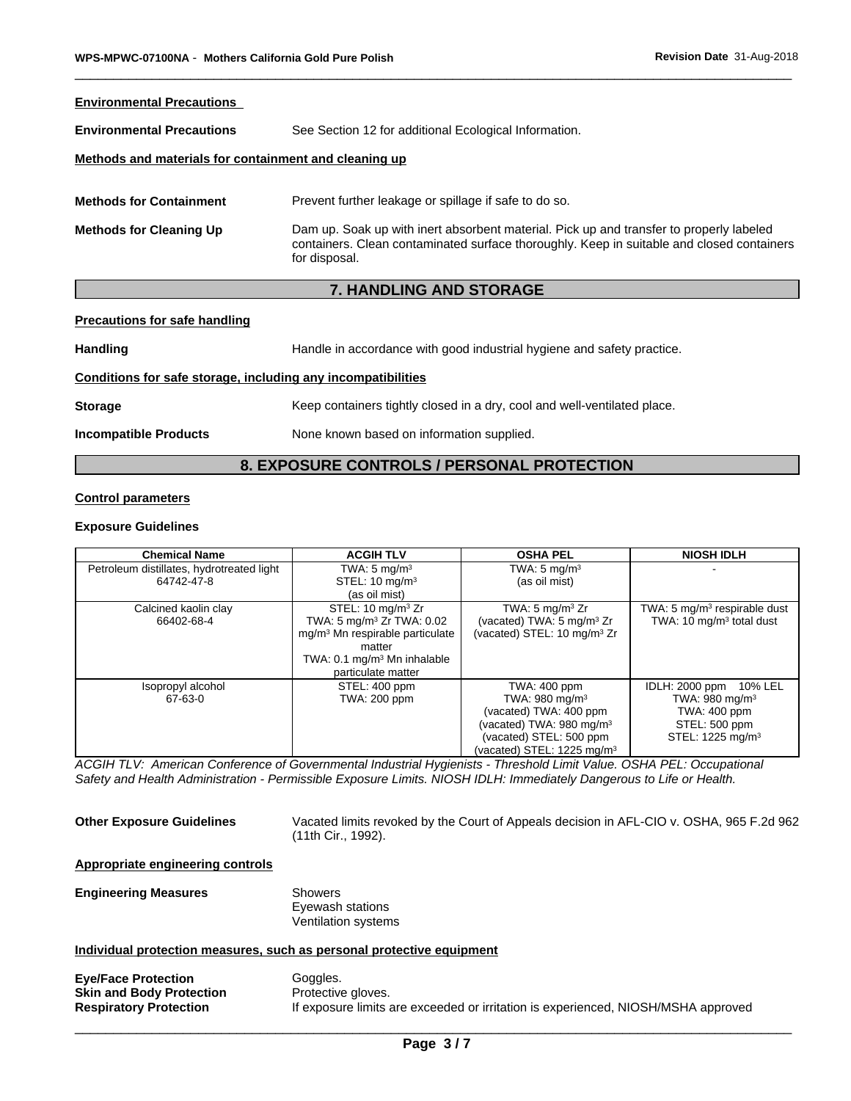| WPS-MPWC-07100NA - Mothers California Gold Pure Polish       |                                                                                                                                                                                                       | Revision Date 31-Aug-2018 |  |
|--------------------------------------------------------------|-------------------------------------------------------------------------------------------------------------------------------------------------------------------------------------------------------|---------------------------|--|
| <b>Environmental Precautions</b>                             |                                                                                                                                                                                                       |                           |  |
| <b>Environmental Precautions</b>                             | See Section 12 for additional Ecological Information.                                                                                                                                                 |                           |  |
| Methods and materials for containment and cleaning up        |                                                                                                                                                                                                       |                           |  |
| <b>Methods for Containment</b>                               | Prevent further leakage or spillage if safe to do so.                                                                                                                                                 |                           |  |
| <b>Methods for Cleaning Up</b>                               | Dam up. Soak up with inert absorbent material. Pick up and transfer to properly labeled<br>containers. Clean contaminated surface thoroughly. Keep in suitable and closed containers<br>for disposal. |                           |  |
|                                                              | <b>7. HANDLING AND STORAGE</b>                                                                                                                                                                        |                           |  |
| <b>Precautions for safe handling</b>                         |                                                                                                                                                                                                       |                           |  |
| <b>Handling</b>                                              | Handle in accordance with good industrial hygiene and safety practice.                                                                                                                                |                           |  |
| Conditions for safe storage, including any incompatibilities |                                                                                                                                                                                                       |                           |  |
| <b>Storage</b>                                               | Keep containers tightly closed in a dry, cool and well-ventilated place.                                                                                                                              |                           |  |
| <b>Incompatible Products</b>                                 | None known based on information supplied.                                                                                                                                                             |                           |  |
|                                                              | 8. EXPOSURE CONTROLS / PERSONAL PROTECTION                                                                                                                                                            |                           |  |
| <b>Control parameters</b>                                    |                                                                                                                                                                                                       |                           |  |
| Exnosure Guidelines                                          |                                                                                                                                                                                                       |                           |  |

#### **Precautions for safe handling**

#### **Conditions for safe storage, including any incompatibilities**

#### **Control parameters**

#### **Exposure Guidelines**

| <b>Chemical Name</b>                      | <b>ACGIH TLV</b>                            | <b>OSHA PEL</b>                         | <b>NIOSH IDLH</b>                        |
|-------------------------------------------|---------------------------------------------|-----------------------------------------|------------------------------------------|
| Petroleum distillates, hydrotreated light | TWA: $5 \text{ mg/m}^3$                     | TWA: $5 \text{ mg/m}^3$                 |                                          |
| 64742-47-8                                | STEL: 10 mg/m <sup>3</sup>                  | (as oil mist)                           |                                          |
|                                           | (as oil mist)                               |                                         |                                          |
| Calcined kaolin clay                      | STEL: 10 mg/m <sup>3</sup> Zr               | TWA: 5 $mg/m3 Zr$                       | TWA: 5 mg/m <sup>3</sup> respirable dust |
| 66402-68-4                                | TWA: 5 mg/m <sup>3</sup> Zr TWA: 0.02       | (vacated) TWA: 5 mg/m <sup>3</sup> Zr   | TWA: 10 mg/m <sup>3</sup> total dust     |
|                                           | mg/m <sup>3</sup> Mn respirable particulate | (vacated) STEL: 10 mg/m <sup>3</sup> Zr |                                          |
|                                           | matter                                      |                                         |                                          |
|                                           | TWA: 0.1 mg/m <sup>3</sup> Mn inhalable     |                                         |                                          |
|                                           | particulate matter                          |                                         |                                          |
| Isopropyl alcohol                         | STEL: 400 ppm                               | TWA: 400 ppm                            | IDLH: 2000 ppm 10% LEL                   |
| 67-63-0                                   | TWA: 200 ppm                                | TWA: 980 mg/m <sup>3</sup>              | TWA: 980 mg/m <sup>3</sup>               |
|                                           |                                             | (vacated) TWA: 400 ppm                  | TWA: 400 ppm                             |
|                                           |                                             | (vacated) TWA: 980 mg/m <sup>3</sup>    | STEL: 500 ppm                            |
|                                           |                                             | (vacated) STEL: 500 ppm                 | STEL: 1225 mg/m <sup>3</sup>             |
|                                           |                                             | (vacated) STEL: 1225 mg/m <sup>3</sup>  |                                          |

*ACGIH TLV: American Conference of Governmental Industrial Hygienists - Threshold Limit Value. OSHA PEL: Occupational Safety and Health Administration - Permissible Exposure Limits. NIOSH IDLH: Immediately Dangerous to Life or Health.*

**Other Exposure Guidelines** Vacated limits revoked by the Court of Appeals decision in AFL-CIO v. OSHA, 965 F.2d 962 (11th Cir., 1992).

#### **Appropriate engineering controls**

# **Engineering Measures** Showers

Eyewash stations Ventilation systems

### **Individual protection measures, such as personal protective equipment**

| <b>Eye/Face Protection</b>      | Goggles.                                                                          |
|---------------------------------|-----------------------------------------------------------------------------------|
| <b>Skin and Body Protection</b> | Protective gloves.                                                                |
| <b>Respiratory Protection</b>   | If exposure limits are exceeded or irritation is experienced, NIOSH/MSHA approved |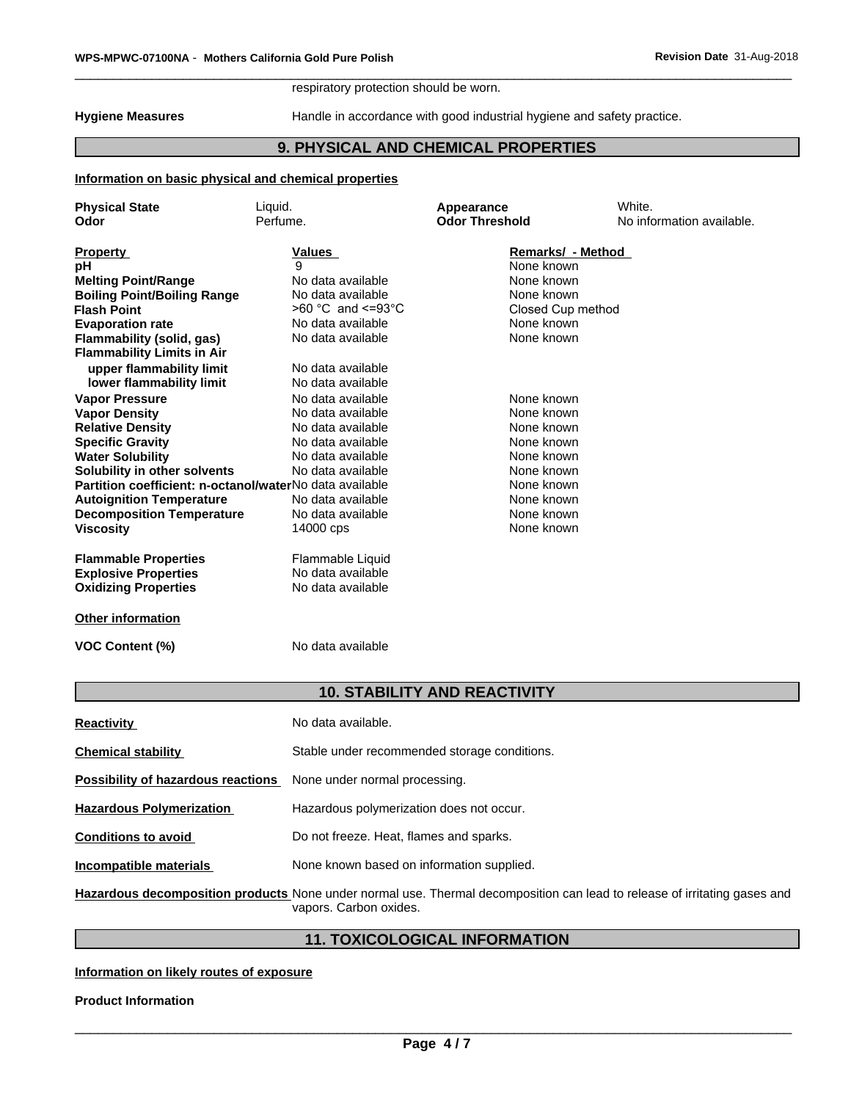#### respiratory protection should be worn.

#### **Information on basic physical and chemical properties**

|                                                                                         | respiratory protection should be worn. |                                                                        |                                     |  |  |  |
|-----------------------------------------------------------------------------------------|----------------------------------------|------------------------------------------------------------------------|-------------------------------------|--|--|--|
| <b>Hygiene Measures</b>                                                                 |                                        | Handle in accordance with good industrial hygiene and safety practice. |                                     |  |  |  |
|                                                                                         | 9. PHYSICAL AND CHEMICAL PROPERTIES    |                                                                        |                                     |  |  |  |
| Information on basic physical and chemical properties                                   |                                        |                                                                        |                                     |  |  |  |
| <b>Physical State</b><br>Odor                                                           | Liquid.<br>Perfume.                    | Appearance<br><b>Odor Threshold</b>                                    | White.<br>No information available. |  |  |  |
| <b>Property</b>                                                                         | Values                                 | Remarks/ - Method                                                      |                                     |  |  |  |
| рH                                                                                      | 9                                      | None known                                                             |                                     |  |  |  |
| <b>Melting Point/Range</b>                                                              | No data available                      | None known                                                             |                                     |  |  |  |
| <b>Boiling Point/Boiling Range</b>                                                      | No data available                      | None known                                                             |                                     |  |  |  |
| <b>Flash Point</b>                                                                      | $>60$ °C and <=93°C                    | Closed Cup method                                                      |                                     |  |  |  |
| <b>Evaporation rate</b>                                                                 | No data available                      | None known                                                             |                                     |  |  |  |
| Flammability (solid, gas)<br><b>Flammability Limits in Air</b>                          | No data available                      | None known                                                             |                                     |  |  |  |
| upper flammability limit                                                                | No data available                      |                                                                        |                                     |  |  |  |
| lower flammability limit                                                                | No data available                      |                                                                        |                                     |  |  |  |
| <b>Vapor Pressure</b>                                                                   | No data available                      | None known                                                             |                                     |  |  |  |
| <b>Vapor Density</b>                                                                    | No data available                      | None known                                                             |                                     |  |  |  |
| <b>Relative Density</b>                                                                 | No data available                      | None known                                                             |                                     |  |  |  |
| <b>Specific Gravity</b>                                                                 | No data available<br>No data available | None known                                                             |                                     |  |  |  |
| <b>Water Solubility</b>                                                                 | No data available                      | None known<br>None known                                               |                                     |  |  |  |
| Solubility in other solvents<br>Partition coefficient: n-octanol/waterNo data available |                                        | None known                                                             |                                     |  |  |  |
| <b>Autoignition Temperature</b>                                                         | No data available                      | None known                                                             |                                     |  |  |  |
| <b>Decomposition Temperature</b>                                                        | No data available                      | None known                                                             |                                     |  |  |  |
| Viscosity                                                                               | 14000 cps                              | None known                                                             |                                     |  |  |  |
| <b>Flammable Properties</b>                                                             | Flammable Liquid                       |                                                                        |                                     |  |  |  |
| <b>Explosive Properties</b>                                                             | No data available                      |                                                                        |                                     |  |  |  |
| <b>Oxidizing Properties</b>                                                             | No data available                      |                                                                        |                                     |  |  |  |
| Other information                                                                       |                                        |                                                                        |                                     |  |  |  |
| <b>VOC Content (%)</b>                                                                  | No data available                      |                                                                        |                                     |  |  |  |
|                                                                                         |                                        | <b>10. STABILITY AND REACTIVITY</b>                                    |                                     |  |  |  |
| <b>Reactivity</b>                                                                       | No data available.                     |                                                                        |                                     |  |  |  |
|                                                                                         |                                        | Stable under recommended storage conditions.                           |                                     |  |  |  |

| <b>Reactivity</b>                        | No data available.                                                                                                                                  |
|------------------------------------------|-----------------------------------------------------------------------------------------------------------------------------------------------------|
| <b>Chemical stability</b>                | Stable under recommended storage conditions.                                                                                                        |
| Possibility of hazardous reactions       | None under normal processing.                                                                                                                       |
| <b>Hazardous Polymerization</b>          | Hazardous polymerization does not occur.                                                                                                            |
| <b>Conditions to avoid</b>               | Do not freeze. Heat, flames and sparks.                                                                                                             |
| <b>Incompatible materials</b>            | None known based on information supplied.                                                                                                           |
|                                          | Hazardous decomposition products None under normal use. Thermal decomposition can lead to release of irritating gases and<br>vapors. Carbon oxides. |
|                                          | <b>11. TOXICOLOGICAL INFORMATION</b>                                                                                                                |
| Information on likely routes of exposure |                                                                                                                                                     |
| <b>Product Information</b>               |                                                                                                                                                     |

### **Information on likely routes of exposure**

**Product Information**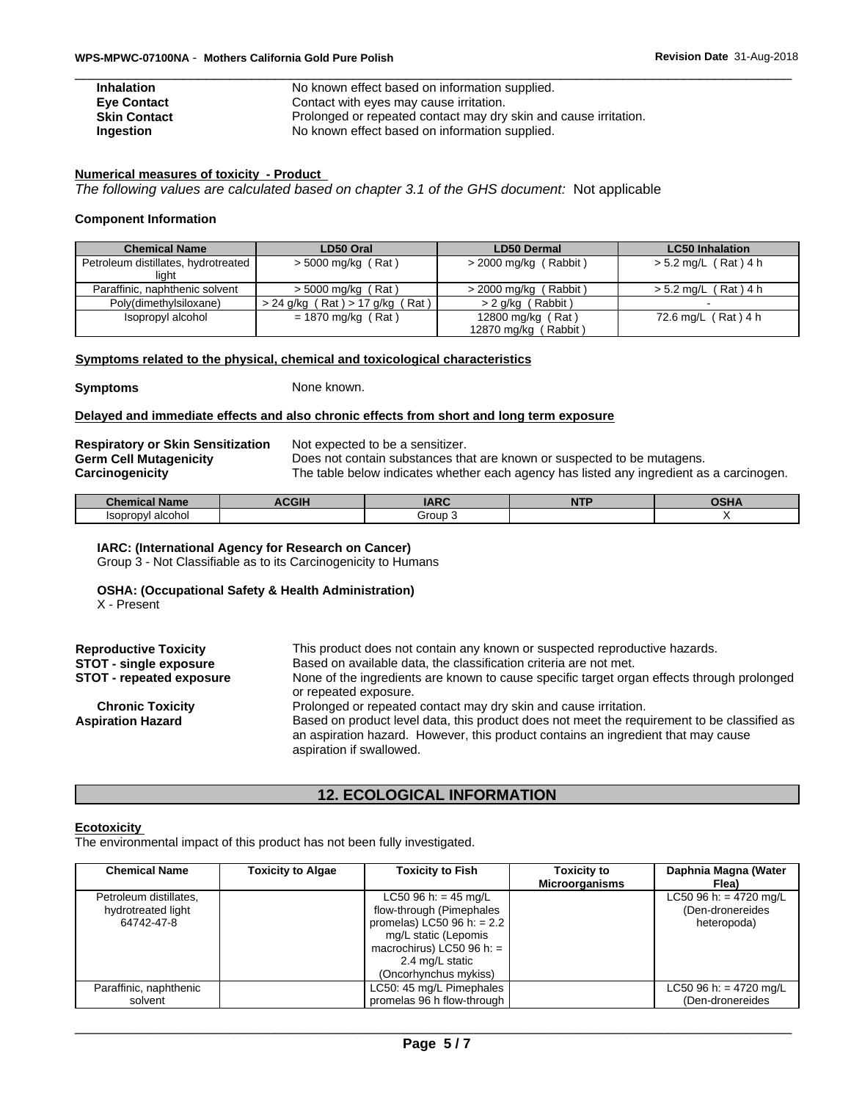| <b>Inhalation</b>   | No known effect based on information supplied.                   |
|---------------------|------------------------------------------------------------------|
| <b>Eve Contact</b>  | Contact with eyes may cause irritation.                          |
| <b>Skin Contact</b> | Prolonged or repeated contact may dry skin and cause irritation. |
| Ingestion           | No known effect based on information supplied.                   |

#### **Numerical measures of toxicity - Product**

#### **Component Information**

| Contact with eyes may cause irritation.<br><b>Eve Contact</b><br>Prolonged or repeated contact may dry skin and cause irritation.<br><b>Skin Contact</b><br>No known effect based on information supplied.<br>Ingestion<br>Numerical measures of toxicity - Product<br>The following values are calculated based on chapter 3.1 of the GHS document: Not applicable |                                     |                         |                        |  |  |  |
|---------------------------------------------------------------------------------------------------------------------------------------------------------------------------------------------------------------------------------------------------------------------------------------------------------------------------------------------------------------------|-------------------------------------|-------------------------|------------------------|--|--|--|
|                                                                                                                                                                                                                                                                                                                                                                     |                                     |                         |                        |  |  |  |
| <b>Component Information</b>                                                                                                                                                                                                                                                                                                                                        |                                     |                         |                        |  |  |  |
| <b>Chemical Name</b>                                                                                                                                                                                                                                                                                                                                                | LD50 Oral                           | <b>LD50 Dermal</b>      | <b>LC50 Inhalation</b> |  |  |  |
| Petroleum distillates, hydrotreated                                                                                                                                                                                                                                                                                                                                 | $>$ 5000 mg/kg (Rat)                | $>$ 2000 mg/kg (Rabbit) | $> 5.2$ mg/L (Rat) 4 h |  |  |  |
| light                                                                                                                                                                                                                                                                                                                                                               |                                     |                         |                        |  |  |  |
| Paraffinic, naphthenic solvent                                                                                                                                                                                                                                                                                                                                      | $>$ 5000 mg/kg (Rat)                | $>$ 2000 mg/kg (Rabbit) | $> 5.2$ mg/L (Rat) 4 h |  |  |  |
| Poly(dimethylsiloxane)                                                                                                                                                                                                                                                                                                                                              | $> 24$ g/kg (Rat) $> 17$ g/kg (Rat) | > 2 g/kg (Rabbit)       |                        |  |  |  |

### **Symptoms related to the physical, chemical and toxicological characteristics**

**Symptoms** None known.

#### **Delayed and immediate effects and also chronic effects from short and long term exposure**

| <b>Respiratory or Skin Sensitization</b> | Not expected to be a sensitizer.                                                         |
|------------------------------------------|------------------------------------------------------------------------------------------|
| <b>Germ Cell Mutagenicity</b>            | Does not contain substances that are known or suspected to be mutagens.                  |
| <b>Carcinogenicity</b>                   | The table below indicates whether each agency has listed any ingredient as a carcinogen. |

| name<br>1011 C 21<br>_____  | 0 <sup>0</sup> | IMDC<br>$-10V$ | $\overline{\phantom{a}}$<br>. |  |
|-----------------------------|----------------|----------------|-------------------------------|--|
| alcohol<br>Isopropyl<br>3U. |                | aroup<br>.     |                               |  |

#### **IARC: (International Agency for Research on Cancer)**

#### **OSHA: (Occupational Safety & Health Administration)**

| <b>OSHA: (Occupational Safety &amp; Health Administration)</b><br>X - Present |                                                                                                                                                                                                              |
|-------------------------------------------------------------------------------|--------------------------------------------------------------------------------------------------------------------------------------------------------------------------------------------------------------|
| <b>Reproductive Toxicity</b>                                                  | This product does not contain any known or suspected reproductive hazards.                                                                                                                                   |
| <b>STOT - single exposure</b><br><b>STOT - repeated exposure</b>              | Based on available data, the classification criteria are not met.<br>None of the ingredients are known to cause specific target organ effects through prolonged<br>or repeated exposure.                     |
| <b>Chronic Toxicity</b>                                                       | Prolonged or repeated contact may dry skin and cause irritation.                                                                                                                                             |
| <b>Aspiration Hazard</b>                                                      | Based on product level data, this product does not meet the requirement to be classified as<br>an aspiration hazard. However, this product contains an ingredient that may cause<br>aspiration if swallowed. |
|                                                                               | <b>12. ECOLOGICAL INFORMATION</b>                                                                                                                                                                            |

#### **Ecotoxicity**

| <b>Chemical Name</b>   | <b>Toxicity to Algae</b> | <b>Toxicity to Fish</b>      | <b>Toxicity to</b>    | Daphnia Magna (Water   |  |
|------------------------|--------------------------|------------------------------|-----------------------|------------------------|--|
|                        |                          |                              | <b>Microorganisms</b> | Flea)                  |  |
| Petroleum distillates, |                          | LC50 96 h: = 45 mg/L         |                       | LC50 96 h: = 4720 mg/L |  |
| hydrotreated light     |                          | flow-through (Pimephales     |                       | (Den-dronereides       |  |
| 64742-47-8             |                          | promelas) LC50 96 h: = $2.2$ |                       | heteropoda)            |  |
|                        |                          | mg/L static (Lepomis         |                       |                        |  |
|                        |                          | macrochirus) LC50 96 h: $=$  |                       |                        |  |
|                        |                          | 2.4 mg/L static              |                       |                        |  |
|                        |                          | (Oncorhynchus mykiss)        |                       |                        |  |
| Paraffinic, naphthenic |                          | LC50: 45 mg/L Pimephales     |                       | LC50 96 h: = 4720 mg/L |  |
| solvent                |                          | promelas 96 h flow-through   |                       | (Den-dronereides       |  |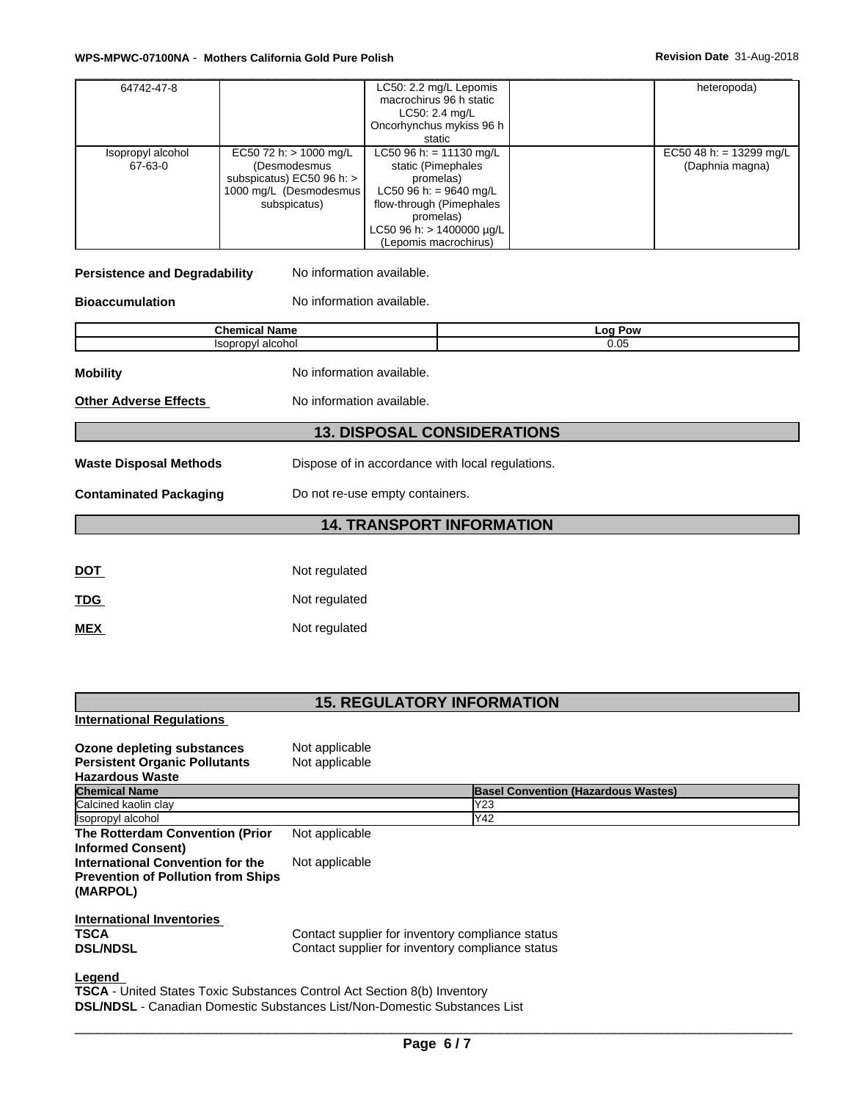| 64742-47-8                   |                                                                                                                      | LC50: 2.2 mg/L Lepomis<br>macrochirus 96 h static<br>LC50: 2.4 mg/L<br>Oncorhynchus mykiss 96 h                                                                                                    | heteropoda)                                |  |
|------------------------------|----------------------------------------------------------------------------------------------------------------------|----------------------------------------------------------------------------------------------------------------------------------------------------------------------------------------------------|--------------------------------------------|--|
| Isopropyl alcohol<br>67-63-0 | EC50 72 h: $> 1000$ mg/L<br>(Desmodesmus<br>subspicatus) $EC50$ 96 h: $>$<br>1000 mg/L (Desmodesmus)<br>subspicatus) | static<br>LC50 96 h: = 11130 mg/L<br>static (Pimephales<br>promelas)<br>LC50 96 h: = 9640 mg/L<br>flow-through (Pimephales<br>promelas)<br>LC50 96 h: > 1400000 $\mu$ g/L<br>(Lepomis macrochirus) | EC50 48 h: = 13299 mg/L<br>(Daphnia magna) |  |

### **Persistence and Degradability** No information available.

**Bioaccumulation** No information available.

**International Regulations**

**Chemical Name Log Pow** Isopropyl alcohol 0.05 **Mobility Mobility** No information available. **Other Adverse Effects** No information available. **13. DISPOSAL CONSIDERATIONS Waste Disposal Methods** Dispose of in accordance with local regulations. **Contaminated Packaging** Do not re-use empty containers. **14. TRANSPORT INFORMATION** DOT Not regulated TDG Not regulated **MEX** Not regulated

### **15. REGULATORY INFORMATION**

| Ozone depleting substances                                                       | Not applicable                                   |                                            |
|----------------------------------------------------------------------------------|--------------------------------------------------|--------------------------------------------|
| <b>Persistent Organic Pollutants</b>                                             | Not applicable                                   |                                            |
| <b>Hazardous Waste</b>                                                           |                                                  |                                            |
| <b>Chemical Name</b>                                                             |                                                  | <b>Basel Convention (Hazardous Wastes)</b> |
| Calcined kaolin clay                                                             |                                                  | Y23                                        |
| Isopropyl alcohol                                                                |                                                  | Y42                                        |
| The Rotterdam Convention (Prior                                                  | Not applicable                                   |                                            |
| <b>Informed Consent)</b>                                                         |                                                  |                                            |
| International Convention for the                                                 | Not applicable                                   |                                            |
| <b>Prevention of Pollution from Ships</b>                                        |                                                  |                                            |
| (MARPOL)                                                                         |                                                  |                                            |
| International Inventories                                                        |                                                  |                                            |
| <b>TSCA</b>                                                                      | Contact supplier for inventory compliance status |                                            |
| <b>DSL/NDSL</b>                                                                  | Contact supplier for inventory compliance status |                                            |
| Legend                                                                           |                                                  |                                            |
| <b>TSCA</b> - United States Toxic Substances Control Act Section 8(b) Inventory  |                                                  |                                            |
| <b>DSL/NDSL</b> - Canadian Domestic Substances List/Non-Domestic Substances List |                                                  |                                            |

 $\overline{\phantom{a}}$  ,  $\overline{\phantom{a}}$  ,  $\overline{\phantom{a}}$  ,  $\overline{\phantom{a}}$  ,  $\overline{\phantom{a}}$  ,  $\overline{\phantom{a}}$  ,  $\overline{\phantom{a}}$  ,  $\overline{\phantom{a}}$  ,  $\overline{\phantom{a}}$  ,  $\overline{\phantom{a}}$  ,  $\overline{\phantom{a}}$  ,  $\overline{\phantom{a}}$  ,  $\overline{\phantom{a}}$  ,  $\overline{\phantom{a}}$  ,  $\overline{\phantom{a}}$  ,  $\overline{\phantom{a}}$